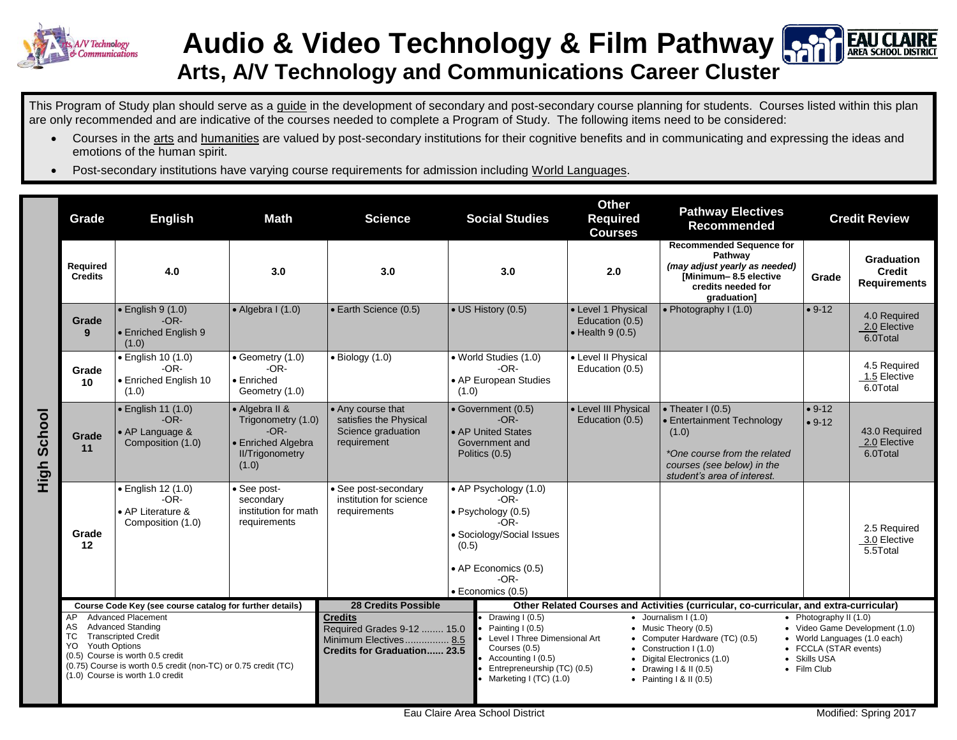

## **Audio & Video Technology & Film Pathway Arts, A/V Technology and Communications Career Cluster**

This Program of Study plan should serve as a guide in the development of secondary and post-secondary course planning for students. Courses listed within this plan are only recommended and are indicative of the courses needed to complete a Program of Study. The following items need to be considered:

- Courses in the arts and humanities are valued by post-secondary institutions for their cognitive benefits and in communicating and expressing the ideas and emotions of the human spirit.
- Post-secondary institutions have varying course requirements for admission including World Languages.

|                | Grade                                                                                                                                                                                                                                                                                                                           | <b>Math</b><br><b>English</b><br><b>Science</b>                        |                                                                                                         | <b>Social Studies</b>                                                                                                                     |                                                                                        | <b>Other</b><br><b>Required</b><br><b>Courses</b>                                                                                                                                                                                                                                                                                                                                                                                                                                                                                                                                                                                     | <b>Pathway Electives</b><br><b>Recommended</b>                    |                                                                                                                                                        | <b>Credit Review</b> |                                                           |
|----------------|---------------------------------------------------------------------------------------------------------------------------------------------------------------------------------------------------------------------------------------------------------------------------------------------------------------------------------|------------------------------------------------------------------------|---------------------------------------------------------------------------------------------------------|-------------------------------------------------------------------------------------------------------------------------------------------|----------------------------------------------------------------------------------------|---------------------------------------------------------------------------------------------------------------------------------------------------------------------------------------------------------------------------------------------------------------------------------------------------------------------------------------------------------------------------------------------------------------------------------------------------------------------------------------------------------------------------------------------------------------------------------------------------------------------------------------|-------------------------------------------------------------------|--------------------------------------------------------------------------------------------------------------------------------------------------------|----------------------|-----------------------------------------------------------|
|                | Required<br><b>Credits</b>                                                                                                                                                                                                                                                                                                      | 4.0                                                                    | 3.0                                                                                                     | 3.0                                                                                                                                       |                                                                                        | 3.0                                                                                                                                                                                                                                                                                                                                                                                                                                                                                                                                                                                                                                   | 2.0                                                               | <b>Recommended Sequence for</b><br>Pathway<br>(may adjust yearly as needed)<br>[Minimum-8.5 elective<br>credits needed for<br>graduation]              | Grade                | <b>Graduation</b><br><b>Credit</b><br><b>Requirements</b> |
| School<br>High | Grade<br>9                                                                                                                                                                                                                                                                                                                      | $\bullet$ English 9 (1.0)<br>$-OR-$<br>• Enriched English 9<br>(1.0)   | $\bullet$ Algebra I (1.0)                                                                               | • Earth Science (0.5)                                                                                                                     | • US History (0.5)                                                                     |                                                                                                                                                                                                                                                                                                                                                                                                                                                                                                                                                                                                                                       | • Level 1 Physical<br>Education (0.5)<br>$\bullet$ Health 9 (0.5) | • Photography $I(1.0)$                                                                                                                                 | $• 9-12$             | 4.0 Required<br>2.0 Elective<br>6.0Total                  |
|                | Grade<br>10                                                                                                                                                                                                                                                                                                                     | · English 10 (1.0)<br>-OR-<br>• Enriched English 10<br>(1.0)           | $\bullet$ Geometry (1.0)<br>$-OR-$<br>$\bullet$ Enriched<br>Geometry (1.0)                              | $\bullet$ Biology (1.0)                                                                                                                   | • World Studies (1.0)<br>$-OR-$<br>• AP European Studies<br>(1.0)                      |                                                                                                                                                                                                                                                                                                                                                                                                                                                                                                                                                                                                                                       | • Level II Physical<br>Education (0.5)                            |                                                                                                                                                        |                      | 4.5 Required<br>1.5 Elective<br>6.0Total                  |
|                | Grade<br>11                                                                                                                                                                                                                                                                                                                     | • English 11 (1.0)<br>$-OR-$<br>• AP Language &<br>Composition (1.0)   | • Algebra II &<br>Trigonometry (1.0)<br>$-OR-$<br>• Enriched Algebra<br><b>II/Trigonometry</b><br>(1.0) | • Any course that<br>satisfies the Physical<br>Science graduation<br>requirement                                                          | • Government (0.5)<br>$-OR-$<br>• AP United States<br>Government and<br>Politics (0.5) |                                                                                                                                                                                                                                                                                                                                                                                                                                                                                                                                                                                                                                       | • Level III Physical<br>Education (0.5)                           | • Theater $I(0.5)$<br>• Entertainment Technology<br>(1.0)<br>*One course from the related<br>courses (see below) in the<br>student's area of interest. | $• 9-12$<br>$• 9-12$ | 43.0 Required<br>2.0 Elective<br>6.0Total                 |
|                | Grade<br>12                                                                                                                                                                                                                                                                                                                     | · English 12 (1.0)<br>$-OR-$<br>• AP Literature &<br>Composition (1.0) | • See post-<br>secondary<br>institution for math<br>requirements                                        | • See post-secondary<br>institution for science<br>requirements                                                                           | (0.5)                                                                                  | • AP Psychology (1.0)<br>$-OR-$<br>· Psychology (0.5)<br>$-OR-$<br>• Sociology/Social Issues<br>• AP Economics (0.5)<br>$-OR-$<br>· Economics (0.5)                                                                                                                                                                                                                                                                                                                                                                                                                                                                                   |                                                                   |                                                                                                                                                        |                      | 2.5 Required<br>3.0 Elective<br>5.5Total                  |
|                | Course Code Key (see course catalog for further details)<br>AP Advanced Placement<br><b>Advanced Standing</b><br>AS<br><b>Transcripted Credit</b><br>TC<br><b>Youth Options</b><br>YO<br>(0.5) Course is worth 0.5 credit<br>(0.75) Course is worth 0.5 credit (non-TC) or 0.75 credit (TC)<br>(1.0) Course is worth 1.0 credit |                                                                        |                                                                                                         | <b>28 Credits Possible</b><br><b>Credits</b><br>Required Grades 9-12  15.0<br>Minimum Electives 8.5<br><b>Credits for Graduation 23.5</b> |                                                                                        | Other Related Courses and Activities (curricular, co-curricular, and extra-curricular)<br>Drawing I (0.5)<br>$\bullet$ Journalism I (1.0)<br>• Photography II $(1.0)$<br>• Music Theory (0.5)<br>• Video Game Development (1.0)<br>Painting I (0.5)<br>Level I Three Dimensional Art<br>Computer Hardware (TC) (0.5)<br>• World Languages (1.0 each)<br>Courses (0.5)<br>Construction I (1.0)<br>• FCCLA (STAR events)<br>$\bullet$<br>Accounting I (0.5)<br>• Skills USA<br>Digital Electronics (1.0)<br>Entrepreneurship (TC) (0.5)<br>• Film Club<br>• Drawing $1 & 1 (0.5)$<br>Marketing I (TC) (1.0)<br>• Painting $1 & 1 (0.5)$ |                                                                   |                                                                                                                                                        |                      |                                                           |